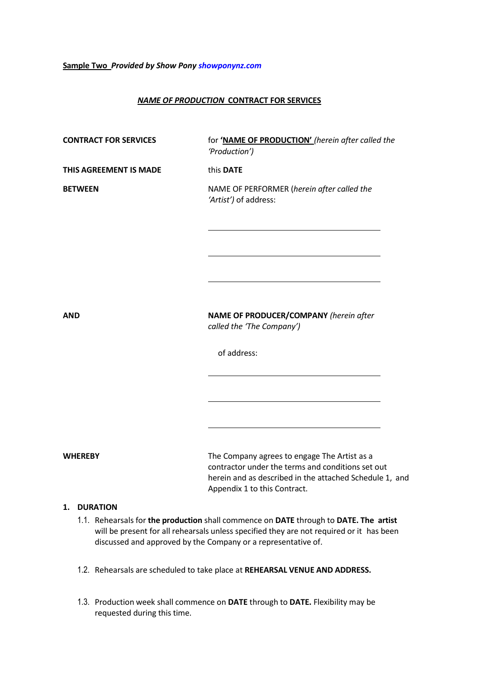#### **Sample Two** *Provided by Show Pony [showponynz.com](http://www.showponynz.com/)*

#### *NAME OF PRODUCTION* **CONTRACT FOR SERVICES**

| <b>CONTRACT FOR SERVICES</b> | for 'NAME OF PRODUCTION' (herein after called the<br>'Production')                                                                                                                           |
|------------------------------|----------------------------------------------------------------------------------------------------------------------------------------------------------------------------------------------|
| THIS AGREEMENT IS MADE       | this DATE                                                                                                                                                                                    |
| <b>BETWEEN</b>               | NAME OF PERFORMER (herein after called the<br>'Artist') of address:                                                                                                                          |
|                              |                                                                                                                                                                                              |
|                              |                                                                                                                                                                                              |
| <b>AND</b>                   | NAME OF PRODUCER/COMPANY (herein after<br>called the 'The Company')                                                                                                                          |
|                              | of address:                                                                                                                                                                                  |
|                              |                                                                                                                                                                                              |
|                              |                                                                                                                                                                                              |
| <b>WHEREBY</b>               | The Company agrees to engage The Artist as a<br>contractor under the terms and conditions set out<br>herein and as described in the attached Schedule 1, and<br>Appendix 1 to this Contract. |

#### **1. DURATION**

- 1.1. Rehearsals for **the production** shall commence on **DATE** through to **DATE. The artist** will be present for all rehearsals unless specified they are not required or it has been discussed and approved by the Company or a representative of.
- 1.2. Rehearsals are scheduled to take place at **REHEARSAL VENUE AND ADDRESS.**
- 1.3. Production week shall commence on **DATE** through to **DATE.** Flexibility may be requested during this time.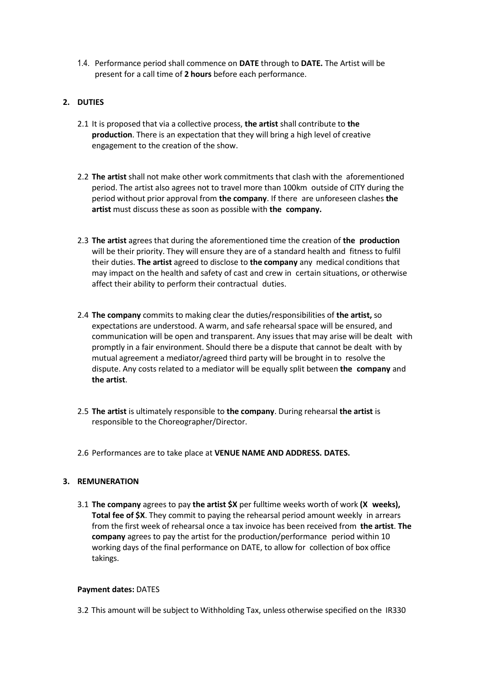1.4. Performance period shall commence on **DATE** through to **DATE.** The Artist will be present for a call time of **2 hours** before each performance.

### **2. DUTIES**

- 2.1 It is proposed that via a collective process, **the artist** shall contribute to **the production**. There is an expectation that they will bring a high level of creative engagement to the creation of the show.
- 2.2 **The artist** shall not make other work commitments that clash with the aforementioned period. The artist also agrees not to travel more than 100km outside of CITY during the period without prior approval from **the company**. If there are unforeseen clashes **the artist** must discuss these as soon as possible with **the company.**
- 2.3 **The artist** agrees that during the aforementioned time the creation of **the production** will be their priority. They will ensure they are of a standard health and fitness to fulfil their duties. **The artist** agreed to disclose to **the company** any medical conditions that may impact on the health and safety of cast and crew in certain situations, or otherwise affect their ability to perform their contractual duties.
- 2.4 **The company** commits to making clear the duties/responsibilities of **the artist,** so expectations are understood. A warm, and safe rehearsal space will be ensured, and communication will be open and transparent. Any issues that may arise will be dealt with promptly in a fair environment. Should there be a dispute that cannot be dealt with by mutual agreement a mediator/agreed third party will be brought in to resolve the dispute. Any costs related to a mediator will be equally split between **the company** and **the artist**.
- 2.5 **The artist** is ultimately responsible to **the company**. During rehearsal **the artist** is responsible to the Choreographer/Director.
- 2.6 Performances are to take place at **VENUE NAME AND ADDRESS. DATES.**

# **3. REMUNERATION**

3.1 **The company** agrees to pay **the artist \$X** per fulltime weeks worth of work **(X weeks), Total fee of \$X**. They commit to paying the rehearsal period amount weekly in arrears from the first week of rehearsal once a tax invoice has been received from **the artist**. **The company** agrees to pay the artist for the production/performance period within 10 working days of the final performance on DATE, to allow for collection of box office takings.

#### **Payment dates:** DATES

3.2 This amount will be subject to Withholding Tax, unless otherwise specified on the IR330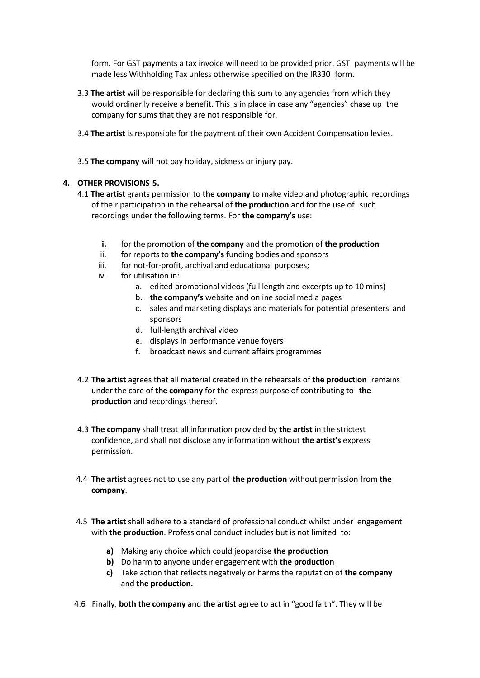form. For GST payments a tax invoice will need to be provided prior. GST payments will be made less Withholding Tax unless otherwise specified on the IR330 form.

- 3.3 **The artist** will be responsible for declaring this sum to any agencies from which they would ordinarily receive a benefit. This is in place in case any "agencies" chase up the company for sums that they are not responsible for.
- 3.4 **The artist** is responsible for the payment of their own Accident Compensation levies.
- 3.5 **The company** will not pay holiday, sickness or injury pay.

# **4. OTHER PROVISIONS 5.**

- 4.1 **The artist** grants permission to **the company** to make video and photographic recordings of their participation in the rehearsal of **the production** and for the use of such recordings under the following terms. For **the company's** use:
	- **i.** for the promotion of **the company** and the promotion of **the production**
	- ii. for reports to **the company's** funding bodies and sponsors
	- iii. for not-for-profit, archival and educational purposes;
	- iv. for utilisation in:
		- a. edited promotional videos (full length and excerpts up to 10 mins)
		- b. **the company's** website and online social media pages
		- c. sales and marketing displays and materials for potential presenters and sponsors
		- d. full-length archival video
		- e. displays in performance venue foyers
		- f. broadcast news and current affairs programmes
- 4.2 **The artist** agrees that all material created in the rehearsals of **the production** remains under the care of **the company** for the express purpose of contributing to **the production** and recordings thereof.
- 4.3 **The company** shall treat all information provided by **the artist** in the strictest confidence, and shall not disclose any information without **the artist's** express permission.
- 4.4 **The artist** agrees not to use any part of **the production** without permission from **the company**.
- 4.5 **The artist** shall adhere to a standard of professional conduct whilst under engagement with **the production**. Professional conduct includes but is not limited to:
	- **a)** Making any choice which could jeopardise **the production**
	- **b)** Do harm to anyone under engagement with **the production**
	- **c)** Take action that reflects negatively or harms the reputation of **the company** and **the production.**
- 4.6 Finally, **both the company** and **the artist** agree to act in "good faith". They will be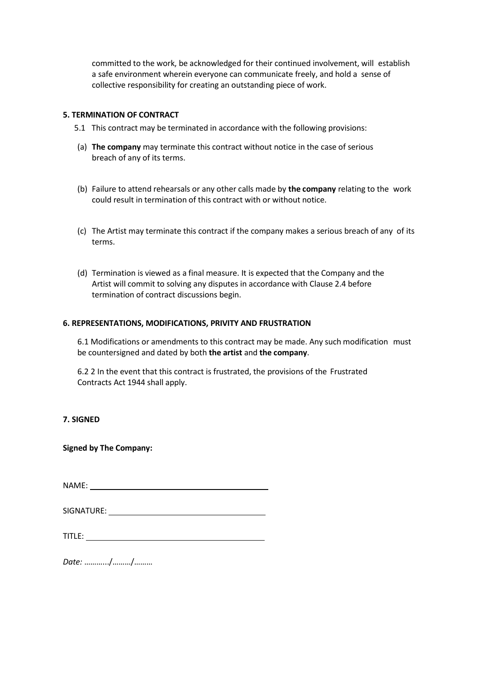committed to the work, be acknowledged for their continued involvement, will establish a safe environment wherein everyone can communicate freely, and hold a sense of collective responsibility for creating an outstanding piece of work.

#### **5. TERMINATION OF CONTRACT**

- 5.1 This contract may be terminated in accordance with the following provisions:
- (a) **The company** may terminate this contract without notice in the case of serious breach of any of its terms.
- (b) Failure to attend rehearsals or any other calls made by **the company** relating to the work could result in termination of this contract with or without notice.
- (c) The Artist may terminate this contract if the company makes a serious breach of any of its terms.
- (d) Termination is viewed as a final measure. It is expected that the Company and the Artist will commit to solving any disputes in accordance with Clause 2.4 before termination of contract discussions begin.

#### **6. REPRESENTATIONS, MODIFICATIONS, PRIVITY AND FRUSTRATION**

6.1 Modifications or amendments to this contract may be made. Any such modification must be countersigned and dated by both **the artist** and **the company**.

6.2 2 In the event that this contract is frustrated, the provisions of the Frustrated Contracts Act 1944 shall apply.

# **7. SIGNED**

**Signed by The Company:**

NAME:

*Date:* ……….../………/………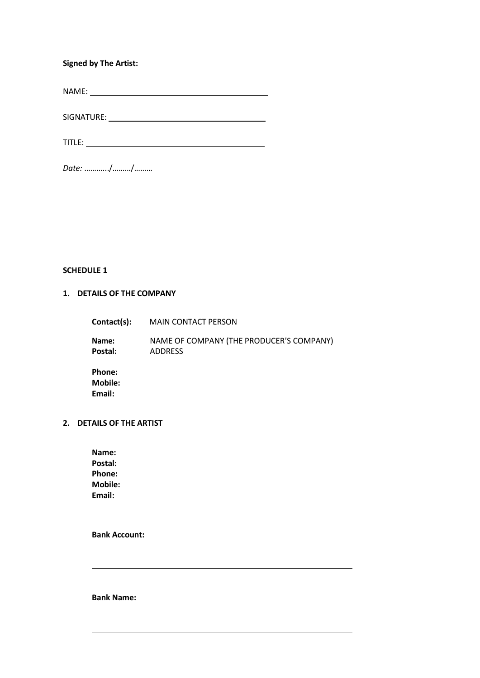# **Signed by The Artist:**

NAME:

SIGNATURE:

TITLE:

*Date:* ……….../………/………

**SCHEDULE 1**

# **1. DETAILS OF THE COMPANY**

| Contact(s):                 | <b>MAIN CONTACT PERSON</b>                                 |
|-----------------------------|------------------------------------------------------------|
| Name:<br>Postal:            | NAME OF COMPANY (THE PRODUCER'S COMPANY)<br><b>ADDRESS</b> |
| Phone:<br>Mobile:<br>Email: |                                                            |

# **2. DETAILS OF THE ARTIST**

**Name: Postal: Phone: Mobile: Email:**

**Bank Account:**

**Bank Name:**